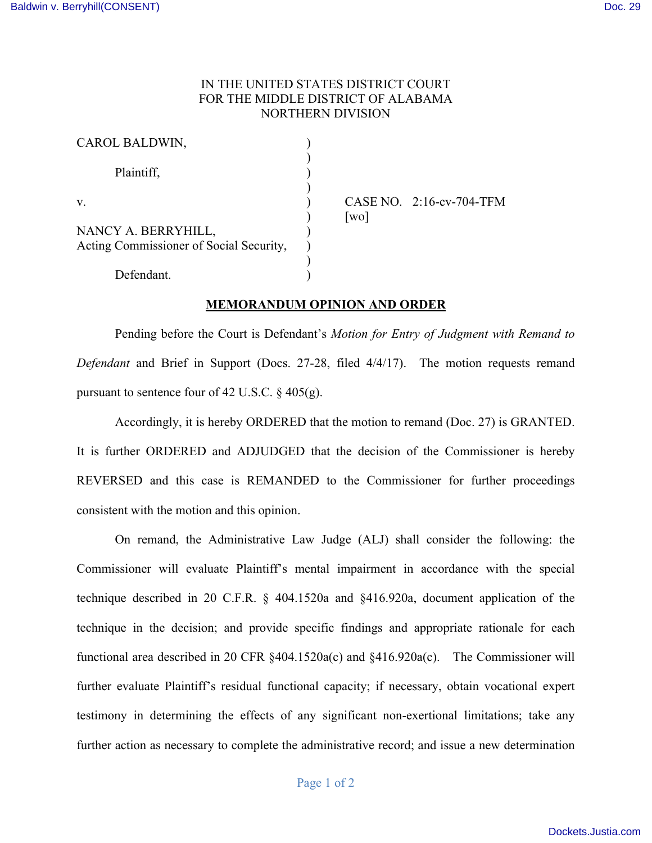## IN THE UNITED STATES DISTRICT COURT FOR THE MIDDLE DISTRICT OF ALABAMA NORTHERN DIVISION

| CAROL BALDWIN,                                                 |  |
|----------------------------------------------------------------|--|
| Plaintiff,                                                     |  |
| V                                                              |  |
| NANCY A. BERRYHILL,<br>Acting Commissioner of Social Security, |  |
| Defendant.                                                     |  |

CASE NO. 2:16-cv-704-TFM  $\lceil$  wo $\rceil$ 

## **MEMORANDUM OPINION AND ORDER**

Pending before the Court is Defendant's *Motion for Entry of Judgment with Remand to Defendant* and Brief in Support (Docs. 27-28, filed 4/4/17). The motion requests remand pursuant to sentence four of 42 U.S.C.  $\S$  405(g).

Accordingly, it is hereby ORDERED that the motion to remand (Doc. 27) is GRANTED. It is further ORDERED and ADJUDGED that the decision of the Commissioner is hereby REVERSED and this case is REMANDED to the Commissioner for further proceedings consistent with the motion and this opinion.

On remand, the Administrative Law Judge (ALJ) shall consider the following: the Commissioner will evaluate Plaintiff's mental impairment in accordance with the special technique described in 20 C.F.R. § 404.1520a and §416.920a, document application of the technique in the decision; and provide specific findings and appropriate rationale for each functional area described in 20 CFR §404.1520a(c) and §416.920a(c). The Commissioner will further evaluate Plaintiff's residual functional capacity; if necessary, obtain vocational expert testimony in determining the effects of any significant non-exertional limitations; take any further action as necessary to complete the administrative record; and issue a new determination